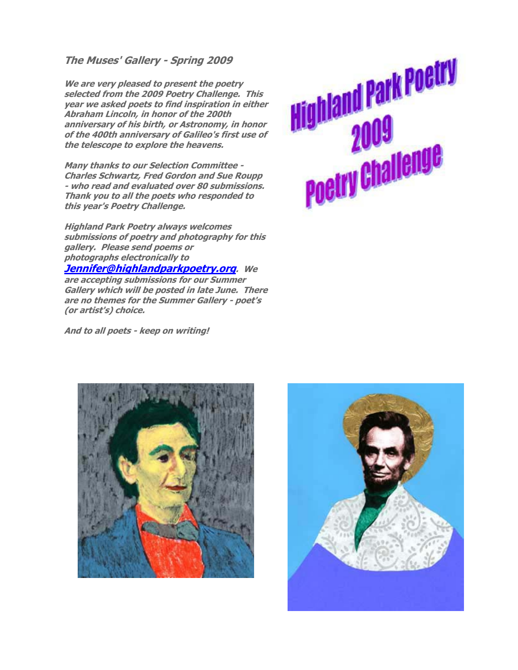**The Muses' Gallery - Spring 2009** 

**We are very pleased to present the poetry selected from the 2009 Poetry Challenge. This year we asked poets to find inspiration in either Abraham Lincoln, in honor of the 200th anniversary of his birth, or Astronomy, in honor of the 400th anniversary of Galileo's first use of the telescope to explore the heavens.** 

**Many thanks to our Selection Committee - Charles Schwartz, Fred Gordon and Sue Roupp - who read and evaluated over 80 submissions. Thank you to all the poets who responded to this year's Poetry Challenge.** 

**Highland Park Poetry always welcomes submissions of poetry and photography for this gallery. Please send poems or photographs electronically to** 

#### **Jennifer@highlandparkpoetry.org. We**

**are accepting submissions for our Summer Gallery which will be posted in late June. There are no themes for the Summer Gallery - poet's (or artist's) choice.** 

**And to all poets - keep on writing!**





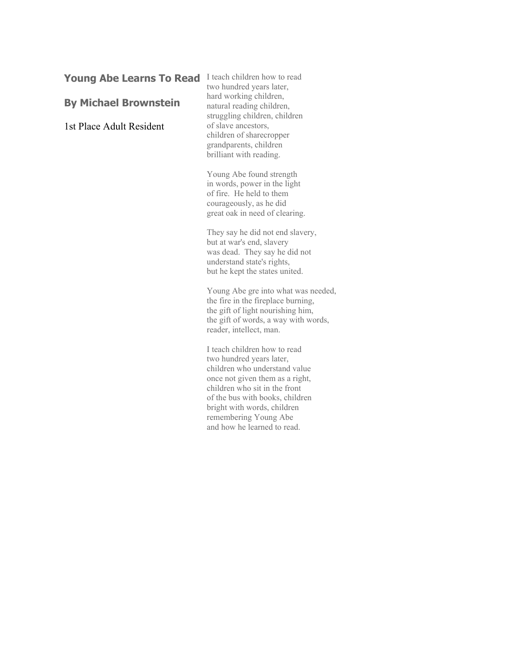# Young Abe Learns To Read I teach children how to read

#### **By Michael Brownstein**

1st Place Adult Resident

two hundred years later, hard working children, natural reading children, struggling children, children of slave ancestors, children of sharecropper grandparents, children brilliant with reading.

Young Abe found strength in words, power in the light of fire. He held to them courageously, as he did great oak in need of clearing.

They say he did not end slavery, but at war's end, slavery was dead. They say he did not understand state's rights, but he kept the states united.

Young Abe gre into what was needed, the fire in the fireplace burning, the gift of light nourishing him, the gift of words, a way with words, reader, intellect, man.

I teach children how to read two hundred years later, children who understand value once not given them as a right, children who sit in the front of the bus with books, children bright with words, children remembering Young Abe and how he learned to read.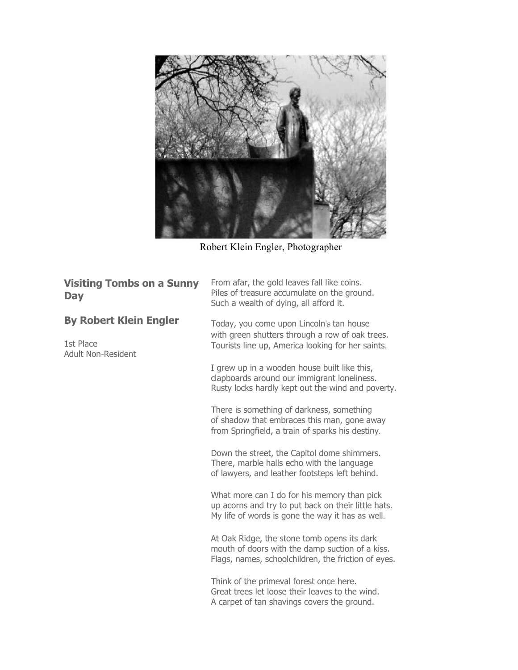

Robert Klein Engler, Photographer

| <b>Visiting Tombs on a Sunny</b><br><b>Day</b>                          | From afar, the gold leaves fall like coins.<br>Piles of treasure accumulate on the ground.<br>Such a wealth of dying, all afford it.                   |
|-------------------------------------------------------------------------|--------------------------------------------------------------------------------------------------------------------------------------------------------|
| <b>By Robert Klein Engler</b><br>1st Place<br><b>Adult Non-Resident</b> | Today, you come upon Lincoln's tan house<br>with green shutters through a row of oak trees.<br>Tourists line up, America looking for her saints.       |
|                                                                         | I grew up in a wooden house built like this,<br>clapboards around our immigrant loneliness.<br>Rusty locks hardly kept out the wind and poverty.       |
|                                                                         | There is something of darkness, something<br>of shadow that embraces this man, gone away<br>from Springfield, a train of sparks his destiny.           |
|                                                                         | Down the street, the Capitol dome shimmers.<br>There, marble halls echo with the language<br>of lawyers, and leather footsteps left behind.            |
|                                                                         | What more can I do for his memory than pick<br>up acorns and try to put back on their little hats.<br>My life of words is gone the way it has as well. |
|                                                                         | At Oak Ridge, the stone tomb opens its dark<br>mouth of doors with the damp suction of a kiss.<br>Flags, names, schoolchildren, the friction of eyes.  |
|                                                                         | Think of the primeval forest once here.<br>Great trees let loose their leaves to the wind.<br>A carpet of tan shavings covers the ground.              |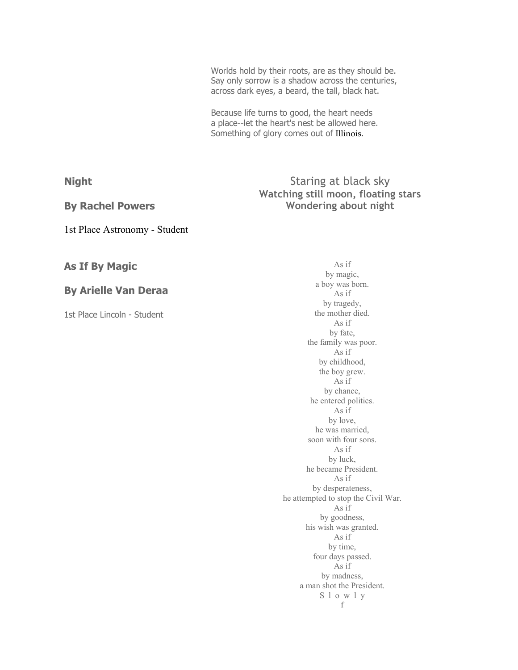Worlds hold by their roots, are as they should be. Say only sorrow is a shadow across the centuries, across dark eyes, a beard, the tall, black hat.

Because life turns to good, the heart needs a place--let the heart's nest be allowed here. Something of glory comes out of Illinois.

**Night** 

#### **By Rachel Powers**

1st Place Astronomy - Student

# **As If By Magic**

### **By Arielle Van Deraa**

1st Place Lincoln - Student

## Staring at black sky **Watching still moon, floating stars Wondering about night**

As if by magic, a boy was born. As if by tragedy, the mother died. As if by fate, the family was poor. As if by childhood, the boy grew. As if by chance, he entered politics. As if by love, he was married, soon with four sons. As if by luck, he became President. As if by desperateness, he attempted to stop the Civil War. As if by goodness, his wish was granted. As if by time, four days passed. As if by madness, a man shot the President. S l o w l y f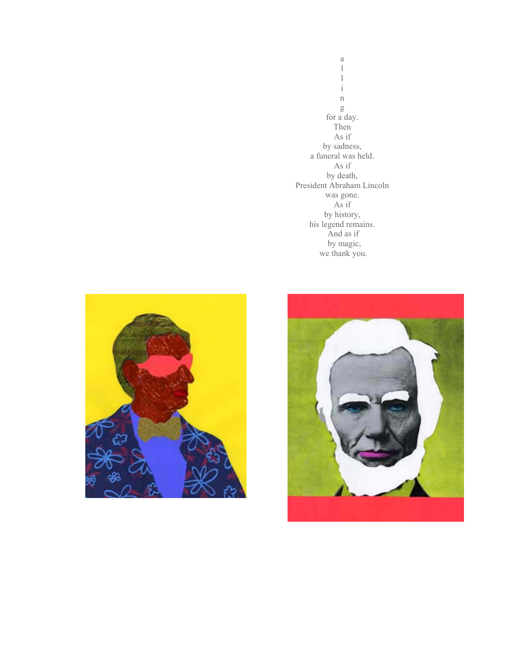a l l i n g for a day. Then As if by sadness, a funeral was held. As if by death, President Abraham Lincoln was gone. As if by history, his legend remains. And as if by magic, we thank you.



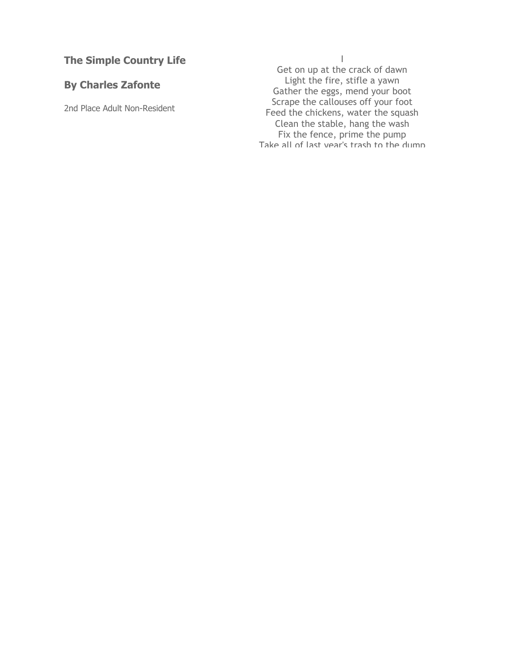# **The Simple Country Life**

# **By Charles Zafonte**

2nd Place Adult Non-Resident

I

Get on up at the crack of dawn Light the fire, stifle a yawn Gather the eggs, mend your boot Scrape the callouses off your foot Feed the chickens, water the squash Clean the stable, hang the wash Fix the fence, prime the pump Take all of last year 's trash to the dump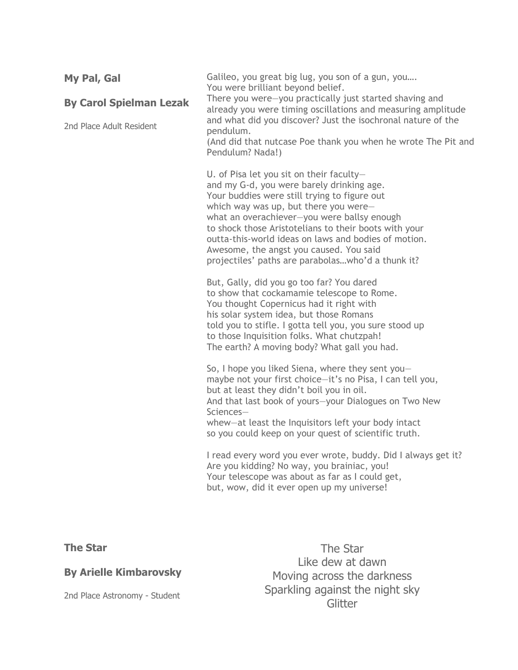| My Pal, Gal<br><b>By Carol Spielman Lezak</b><br>2nd Place Adult Resident | Galileo, you great big lug, you son of a gun, you<br>You were brilliant beyond belief.<br>There you were-you practically just started shaving and<br>already you were timing oscillations and measuring amplitude<br>and what did you discover? Just the isochronal nature of the<br>pendulum.<br>(And did that nutcase Poe thank you when he wrote The Pit and<br>Pendulum? Nada!)                                                            |
|---------------------------------------------------------------------------|------------------------------------------------------------------------------------------------------------------------------------------------------------------------------------------------------------------------------------------------------------------------------------------------------------------------------------------------------------------------------------------------------------------------------------------------|
|                                                                           | U. of Pisa let you sit on their faculty-<br>and my G-d, you were barely drinking age.<br>Your buddies were still trying to figure out<br>which way was up, but there you were-<br>what an overachiever-you were ballsy enough<br>to shock those Aristotelians to their boots with your<br>outta-this-world ideas on laws and bodies of motion.<br>Awesome, the angst you caused. You said<br>projectiles' paths are parabolaswho'd a thunk it? |
|                                                                           | But, Gally, did you go too far? You dared<br>to show that cockamamie telescope to Rome.<br>You thought Copernicus had it right with<br>his solar system idea, but those Romans<br>told you to stifle. I gotta tell you, you sure stood up<br>to those Inquisition folks. What chutzpah!<br>The earth? A moving body? What gall you had.                                                                                                        |
|                                                                           | So, I hope you liked Siena, where they sent you-<br>maybe not your first choice-it's no Pisa, I can tell you,<br>but at least they didn't boil you in oil.<br>And that last book of yours-your Dialogues on Two New<br>Sciences-<br>whew-at least the Inquisitors left your body intact<br>so you could keep on your quest of scientific truth.                                                                                                |
|                                                                           | I read every word you ever wrote, buddy. Did I always get it?<br>Are you kidding? No way, you brainiac, you!<br>Your telescope was about as far as I could get,<br>but, wow, did it ever open up my universe!                                                                                                                                                                                                                                  |

**The Star** 

# **By Arielle Kimbarovsky**

2nd Place Astronomy - Student

The Star Like dew at dawn Moving across the darkness Sparkling against the night sky **Glitter**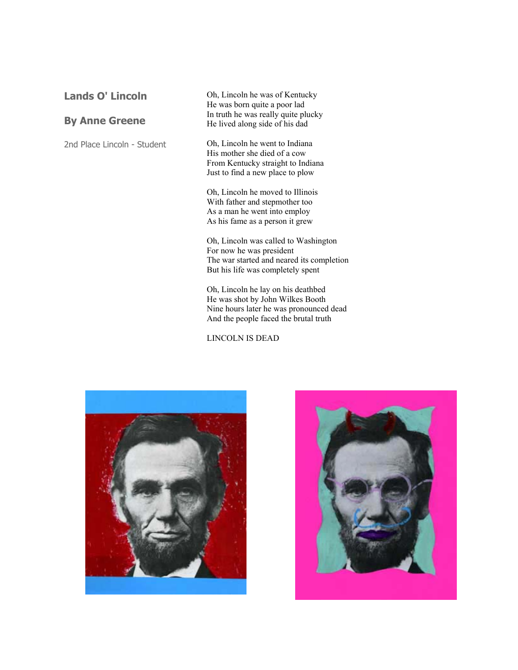## **Lands O' Lincoln**

### **By Anne Greene**

2nd Place Lincoln - Student

Oh, Lincoln he was of Kentucky He was born quite a poor lad In truth he was really quite plucky He lived along side of his dad

Oh, Lincoln he went to Indiana His mother she died of a cow From Kentucky straight to Indiana Just to find a new place to plow

Oh, Lincoln he moved to Illinois With father and stepmother too As a man he went into employ As his fame as a person it grew

Oh, Lincoln was called to Washington For now he was president The war started and neared its completion But his life was completely spent

Oh, Lincoln he lay on his deathbed He was shot by John Wilkes Booth Nine hours later he was pronounced dead And the people faced the brutal truth

LINCOLN IS DEAD



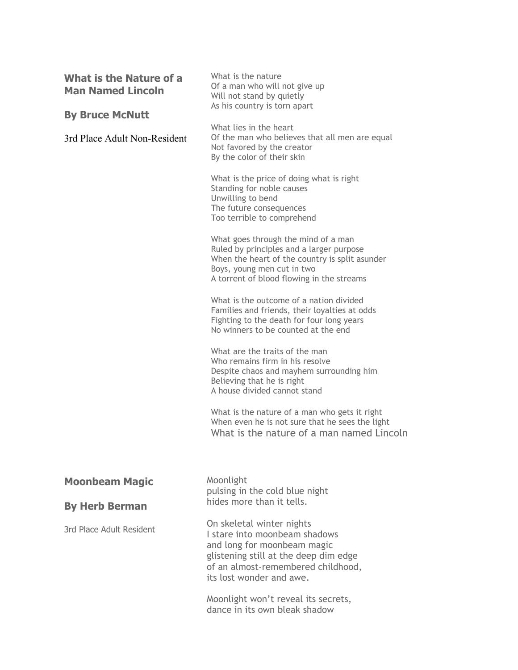| What is the Nature of a<br><b>Man Named Lincoln</b> | What is the nature<br>Of a man who will not give up<br>Will not stand by quietly<br>As his country is torn apart                                                                                             |
|-----------------------------------------------------|--------------------------------------------------------------------------------------------------------------------------------------------------------------------------------------------------------------|
| <b>By Bruce McNutt</b>                              |                                                                                                                                                                                                              |
| 3rd Place Adult Non-Resident                        | What lies in the heart<br>Of the man who believes that all men are equal<br>Not favored by the creator<br>By the color of their skin                                                                         |
|                                                     | What is the price of doing what is right<br>Standing for noble causes<br>Unwilling to bend<br>The future consequences<br>Too terrible to comprehend                                                          |
|                                                     | What goes through the mind of a man<br>Ruled by principles and a larger purpose<br>When the heart of the country is split asunder<br>Boys, young men cut in two<br>A torrent of blood flowing in the streams |
|                                                     | What is the outcome of a nation divided<br>Families and friends, their loyalties at odds<br>Fighting to the death for four long years<br>No winners to be counted at the end                                 |
|                                                     | What are the traits of the man<br>Who remains firm in his resolve<br>Despite chaos and mayhem surrounding him<br>Believing that he is right<br>A house divided cannot stand                                  |
|                                                     | What is the nature of a man who gets it right<br>When even he is not sure that he sees the light<br>What is the nature of a man named Lincoln                                                                |
| <b>Moonbeam Magic</b>                               | Moonlight<br>pulsing in the cold blue night                                                                                                                                                                  |
| <b>By Herb Berman</b>                               | hides more than it tells.                                                                                                                                                                                    |
| 3rd Place Adult Resident                            | On skeletal winter nights<br>I stare into moonbeam shadows<br>and long for moonbeam magic<br>glistening still at the deep dim edge<br>of an almost-remembered childhood,<br>its lost wonder and awe.         |
|                                                     | Moonlight won't reveal its secrets,<br>dance in its own bleak shadow                                                                                                                                         |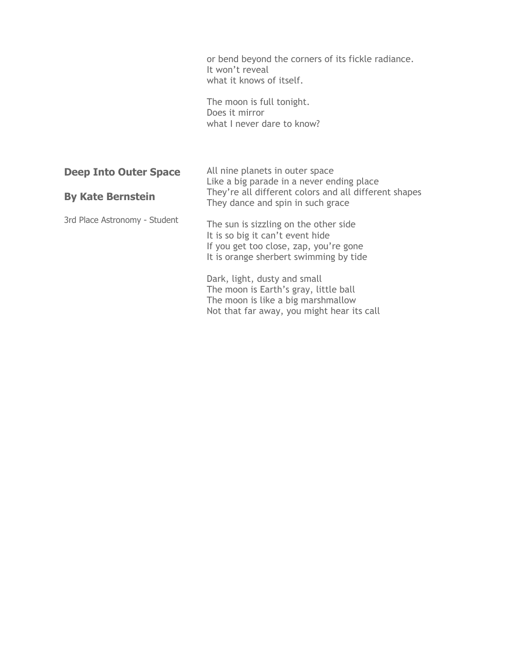or bend beyond the corners of its fickle radiance. It won't reveal what it knows of itself. The moon is full tonight. Does it mirror what I never dare to know? **Deep Into Outer Space By Kate Bernstein**  3rd Place Astronomy - Student All nine planets in outer space Like a big parade in a never ending place They're all different colors and all different shapes They dance and spin in such grace The sun is sizzling on the other side It is so big it can't event hide If you get too close, zap, you're gone It is orange sherbert swimming by tide

> Dark, light, dusty and small The moon is Earth's gray, little ball The moon is like a big marshmallow Not that far away, you might hear its call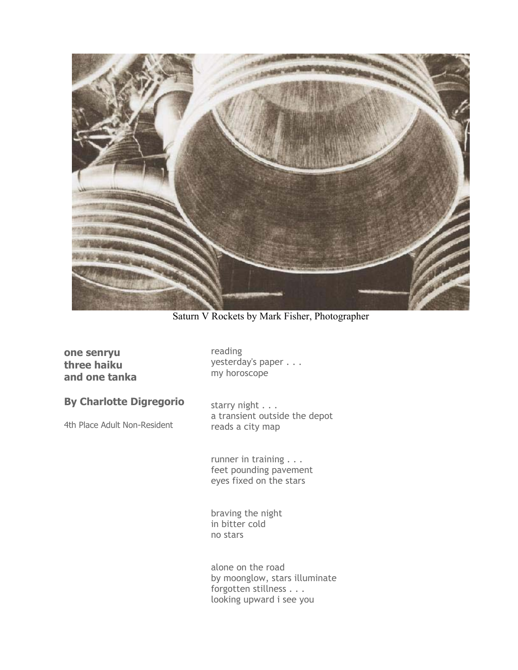

Saturn V Rockets by Mark Fisher, Photographer

### **one senryu three haiku and one tanka**

reading yesterday's paper . . . my horoscope

**By Charlotte Digregorio** 

4th Place Adult Non-Resident

starry night . . . a transient outside the depot reads a city map

runner in training . . . feet pounding pavement eyes fixed on the stars

braving the night in bitter cold no stars

alone on the road by moonglow, stars illuminate forgotten stillness . . . looking upward i see you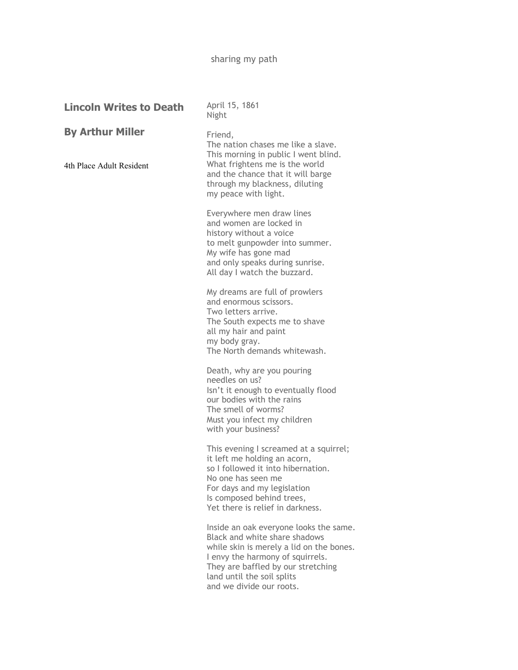# sharing my path

| <b>Lincoln Writes to Death</b>                      | April 15, 1861<br>Night                                                                                                                                                                                                                                 |
|-----------------------------------------------------|---------------------------------------------------------------------------------------------------------------------------------------------------------------------------------------------------------------------------------------------------------|
| <b>By Arthur Miller</b><br>4th Place Adult Resident | Friend,<br>The nation chases me like a slave.<br>This morning in public I went blind.<br>What frightens me is the world<br>and the chance that it will barge<br>through my blackness, diluting<br>my peace with light.                                  |
|                                                     | Everywhere men draw lines<br>and women are locked in<br>history without a voice<br>to melt gunpowder into summer.<br>My wife has gone mad<br>and only speaks during sunrise.<br>All day I watch the buzzard.                                            |
|                                                     | My dreams are full of prowlers<br>and enormous scissors.<br>Two letters arrive.<br>The South expects me to shave<br>all my hair and paint<br>my body gray.<br>The North demands whitewash.                                                              |
|                                                     | Death, why are you pouring<br>needles on us?<br>Isn't it enough to eventually flood<br>our bodies with the rains<br>The smell of worms?<br>Must you infect my children<br>with your business?                                                           |
|                                                     | This evening I screamed at a squirrel;<br>it left me holding an acorn,<br>so I followed it into hibernation.<br>No one has seen me<br>For days and my legislation<br>Is composed behind trees,<br>Yet there is relief in darkness.                      |
|                                                     | Inside an oak everyone looks the same.<br>Black and white share shadows<br>while skin is merely a lid on the bones.<br>I envy the harmony of squirrels.<br>They are baffled by our stretching<br>land until the soil splits<br>and we divide our roots. |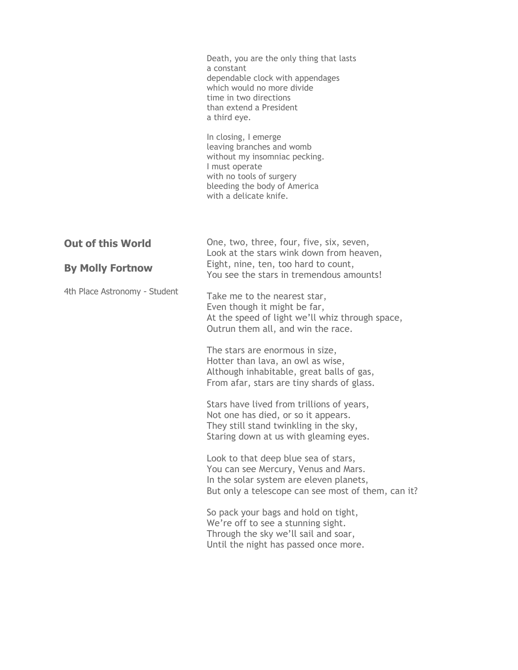|                               | Death, you are the only thing that lasts<br>a constant<br>dependable clock with appendages<br>which would no more divide<br>time in two directions<br>than extend a President<br>a third eye. |
|-------------------------------|-----------------------------------------------------------------------------------------------------------------------------------------------------------------------------------------------|
|                               | In closing, I emerge<br>leaving branches and womb<br>without my insomniac pecking.<br>I must operate<br>with no tools of surgery<br>bleeding the body of America<br>with a delicate knife.    |
| <b>Out of this World</b>      | One, two, three, four, five, six, seven,<br>Look at the stars wink down from heaven,                                                                                                          |
| <b>By Molly Fortnow</b>       | Eight, nine, ten, too hard to count,<br>You see the stars in tremendous amounts!                                                                                                              |
| 4th Place Astronomy - Student | Take me to the nearest star,<br>Even though it might be far,<br>At the speed of light we'll whiz through space,<br>Outrun them all, and win the race.                                         |
|                               | The stars are enormous in size,<br>Hotter than lava, an owl as wise,<br>Although inhabitable, great balls of gas,<br>From afar, stars are tiny shards of glass.                               |
|                               | Stars have lived from trillions of years,<br>Not one has died, or so it appears.<br>They still stand twinkling in the sky,<br>Staring down at us with gleaming eyes.                          |
|                               | Look to that deep blue sea of stars,<br>You can see Mercury, Venus and Mars.<br>In the solar system are eleven planets,<br>But only a telescope can see most of them, can it?                 |
|                               | So pack your bags and hold on tight,<br>We're off to see a stunning sight.<br>Through the sky we'll sail and soar,<br>Until the night has passed once more.                                   |
|                               |                                                                                                                                                                                               |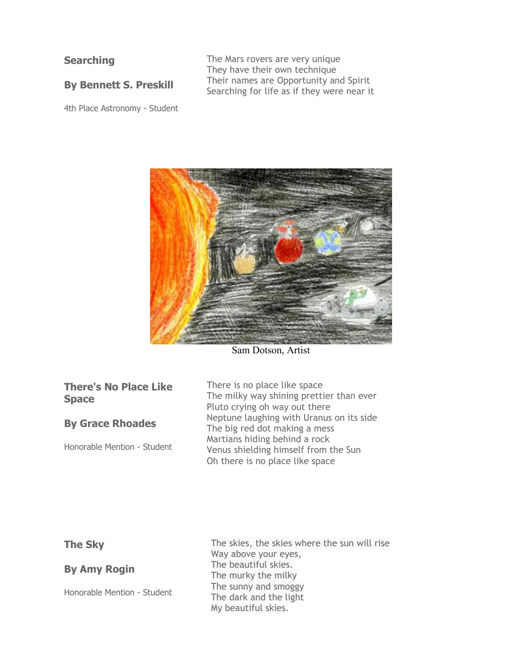## **Searching**

**By Bennett S. Preskill** 

4th Place Astronomy - Student

The Mars rovers are very unique They have their own technique Their names are Opportunity and Spirit Searching for life as if they were near it



Sam Dotson, Artist

| <b>There's No Place Like</b> |  |  |
|------------------------------|--|--|
| <b>Space</b>                 |  |  |

#### **By Grace Rhoades**

Honorable Mention - Student

There is no place like space The milky way shining prettier than ever Pluto crying on way out there Neptune laughing with Uranus on its side The big red dot making a mess Martians hiding behind a rock Venus shielding himself from the Sun Oh there is no place like space

### **The Sky**

**By Amy Rogin** 

Honorable Mention - Student

The skies, the skies where the sun will rise Way above your eyes, The beautiful skies. The murky the milky The sunny and smoggy The dark and the light My beautiful skies.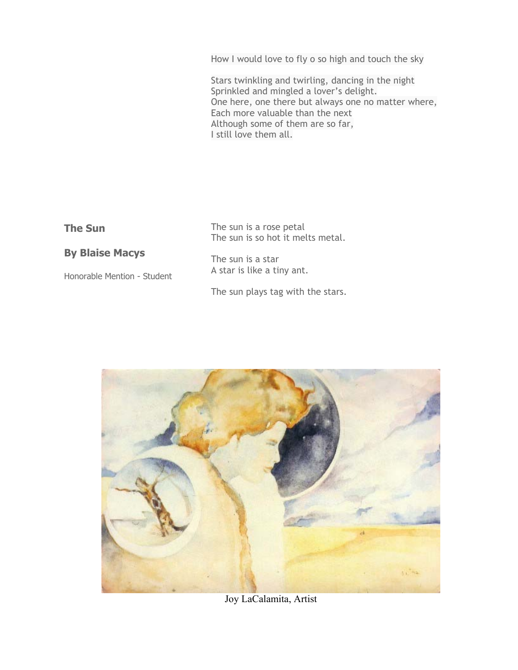How I would love to fly o so high and touch the sky

Stars twinkling and twirling, dancing in the night Sprinkled and mingled a lover's delight. One here, one there but always one no matter where, Each more valuable than the next Although some of them are so far, I still love them all.

| ٠<br>٠<br>. . |  |
|---------------|--|
|---------------|--|

The sun is a rose petal The sun is so hot it melts metal.

# **By Blaise Macys**

Honorable Mention - Student

The sun is a star A star is like a tiny ant.

The sun plays tag with the stars.



Joy LaCalamita, Artist